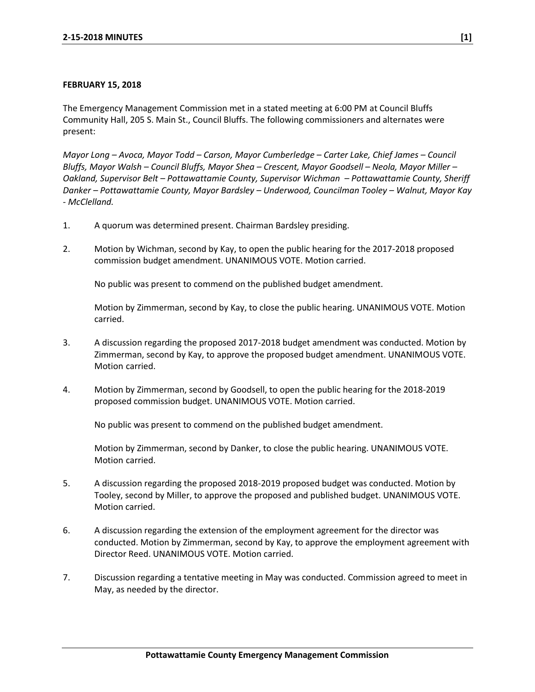## **FEBRUARY 15, 2018**

The Emergency Management Commission met in a stated meeting at 6:00 PM at Council Bluffs Community Hall, 205 S. Main St., Council Bluffs. The following commissioners and alternates were present:

*Mayor Long – Avoca, Mayor Todd – Carson, Mayor Cumberledge – Carter Lake, Chief James – Council Bluffs, Mayor Walsh – Council Bluffs, Mayor Shea – Crescent, Mayor Goodsell – Neola, Mayor Miller – Oakland, Supervisor Belt – Pottawattamie County, Supervisor Wichman – Pottawattamie County, Sheriff Danker – Pottawattamie County, Mayor Bardsley – Underwood, Councilman Tooley – Walnut, Mayor Kay - McClelland.* 

- 1. A quorum was determined present. Chairman Bardsley presiding.
- 2. Motion by Wichman, second by Kay, to open the public hearing for the 2017-2018 proposed commission budget amendment. UNANIMOUS VOTE. Motion carried.

No public was present to commend on the published budget amendment.

Motion by Zimmerman, second by Kay, to close the public hearing. UNANIMOUS VOTE. Motion carried.

- 3. A discussion regarding the proposed 2017-2018 budget amendment was conducted. Motion by Zimmerman, second by Kay, to approve the proposed budget amendment. UNANIMOUS VOTE. Motion carried.
- 4. Motion by Zimmerman, second by Goodsell, to open the public hearing for the 2018-2019 proposed commission budget. UNANIMOUS VOTE. Motion carried.

No public was present to commend on the published budget amendment.

Motion by Zimmerman, second by Danker, to close the public hearing. UNANIMOUS VOTE. Motion carried.

- 5. A discussion regarding the proposed 2018-2019 proposed budget was conducted. Motion by Tooley, second by Miller, to approve the proposed and published budget. UNANIMOUS VOTE. Motion carried.
- 6. A discussion regarding the extension of the employment agreement for the director was conducted. Motion by Zimmerman, second by Kay, to approve the employment agreement with Director Reed. UNANIMOUS VOTE. Motion carried.
- 7. Discussion regarding a tentative meeting in May was conducted. Commission agreed to meet in May, as needed by the director.